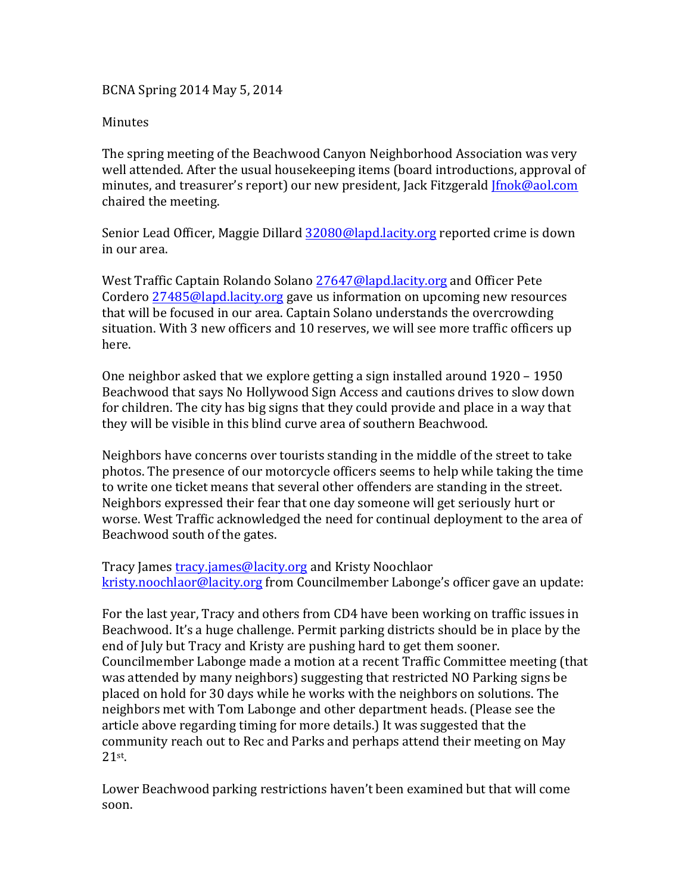## BCNA Spring 2014 May 5, 2014

## **Minutes**

The spring meeting of the Beachwood Canyon Neighborhood Association was very well attended. After the usual housekeeping items (board introductions, approval of minutes, and treasurer's report) our new president, Jack Fitzgerald *Jfnok@aol.com* chaired the meeting.

Senior Lead Officer, Maggie Dillard 32080@lapd.lacity.org reported crime is down in our area.

West Traffic Captain Rolando Solano 27647@lapd.lacity.org and Officer Pete Cordero 27485@lapd.lacity.org gave us information on upcoming new resources that will be focused in our area. Captain Solano understands the overcrowding situation. With 3 new officers and 10 reserves, we will see more traffic officers up here. 

One neighbor asked that we explore getting a sign installed around  $1920 - 1950$ Beachwood that says No Hollywood Sign Access and cautions drives to slow down for children. The city has big signs that they could provide and place in a way that they will be visible in this blind curve area of southern Beachwood.

Neighbors have concerns over tourists standing in the middle of the street to take photos. The presence of our motorcycle officers seems to help while taking the time to write one ticket means that several other offenders are standing in the street. Neighbors expressed their fear that one day someone will get seriously hurt or worse. West Traffic acknowledged the need for continual deployment to the area of Beachwood south of the gates.

Tracy James *tracy.james@lacity.org* and Kristy Noochlaor kristy.noochlaor@lacity.org from Councilmember Labonge's officer gave an update:

For the last year, Tracy and others from CD4 have been working on traffic issues in Beachwood. It's a huge challenge. Permit parking districts should be in place by the end of July but Tracy and Kristy are pushing hard to get them sooner. Councilmember Labonge made a motion at a recent Traffic Committee meeting (that was attended by many neighbors) suggesting that restricted NO Parking signs be placed on hold for 30 days while he works with the neighbors on solutions. The neighbors met with Tom Labonge and other department heads. (Please see the article above regarding timing for more details.) It was suggested that the community reach out to Rec and Parks and perhaps attend their meeting on May 21st. 

Lower Beachwood parking restrictions haven't been examined but that will come soon.